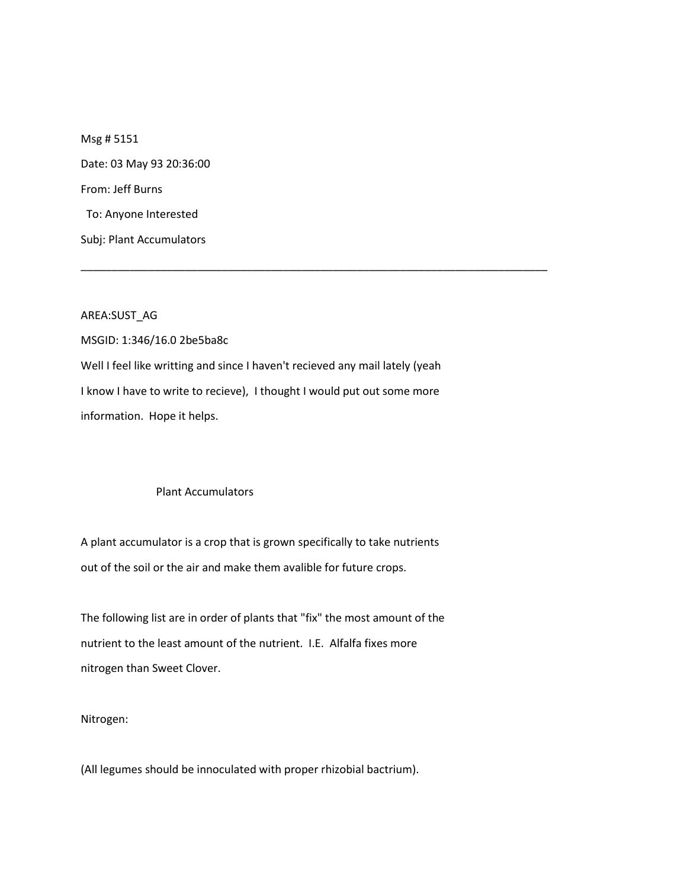Msg # 5151 Date: 03 May 93 20:36:00 From: Jeff Burns To: Anyone Interested Subj: Plant Accumulators

AREA:SUST\_AG

MSGID: 1:346/16.0 2be5ba8c Well I feel like writting and since I haven't recieved any mail lately (yeah I know I have to write to recieve), I thought I would put out some more information. Hope it helps.

\_\_\_\_\_\_\_\_\_\_\_\_\_\_\_\_\_\_\_\_\_\_\_\_\_\_\_\_\_\_\_\_\_\_\_\_\_\_\_\_\_\_\_\_\_\_\_\_\_\_\_\_\_\_\_\_\_\_\_\_\_\_\_\_\_\_\_\_\_\_\_\_\_\_\_\_

## Plant Accumulators

A plant accumulator is a crop that is grown specifically to take nutrients out of the soil or the air and make them avalible for future crops.

The following list are in order of plants that "fix" the most amount of the nutrient to the least amount of the nutrient. I.E. Alfalfa fixes more nitrogen than Sweet Clover.

Nitrogen:

(All legumes should be innoculated with proper rhizobial bactrium).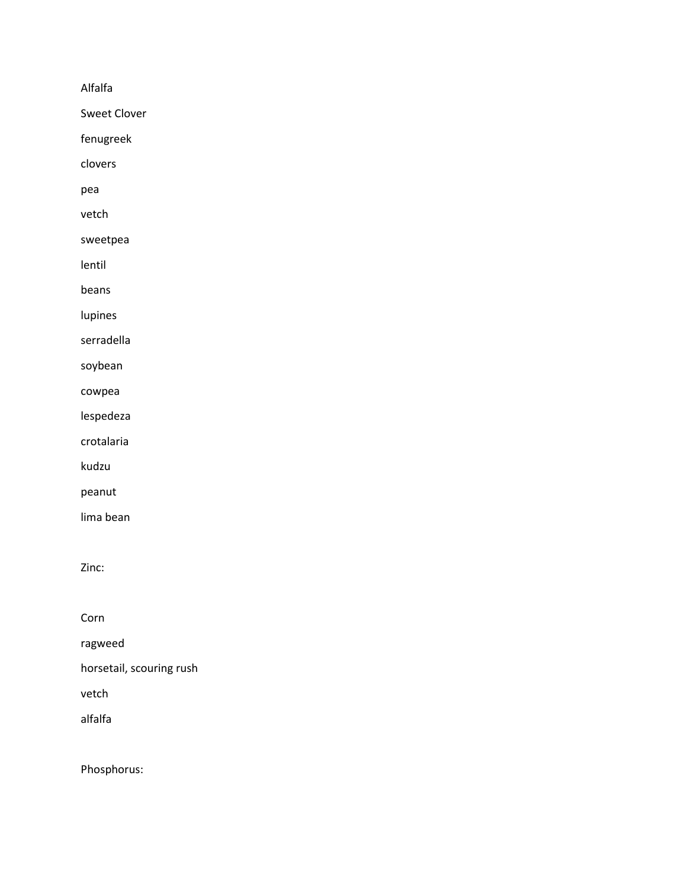Alfalfa

Sweet Clover

fenugreek

clovers

pea

vetch

sweetpea

lentil

beans

lupines

serradella

soybean

cowpea

lespedeza

crotalaria

kudzu

peanut

lima bean

Zinc:

Corn

ragweed

horsetail, scouring rush

vetch

alfalfa

Phosphorus: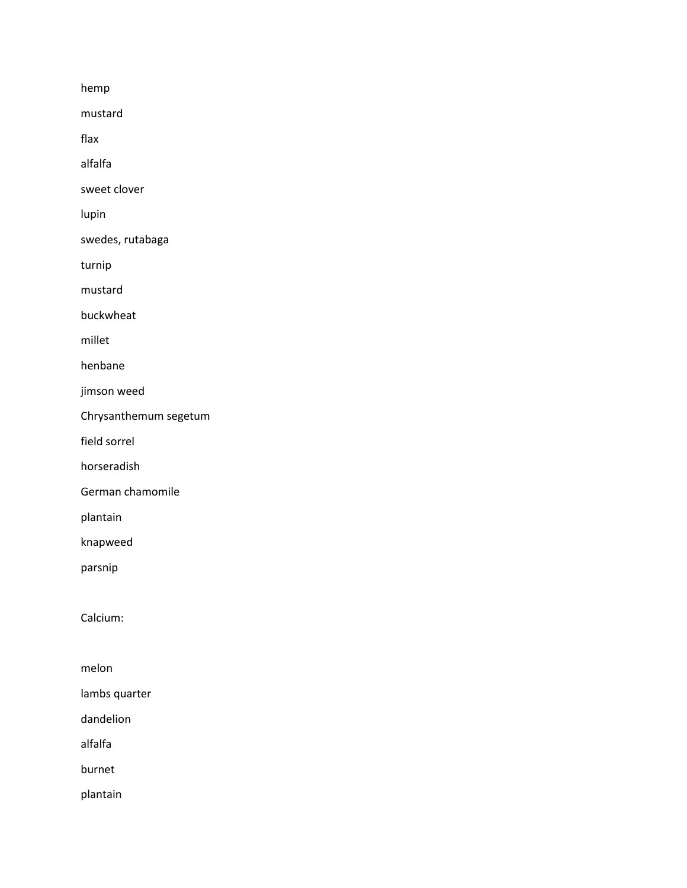hemp

mustard

flax

alfalfa

sweet clover

lupin

swedes, rutabaga

turnip

mustard

buckwheat

millet

henbane

jimson weed

Chrysanthemum segetum

field sorrel

horseradish

German chamomile

plantain

knapweed

parsnip

Calcium:

melon

lambs quarter

dandelion

alfalfa

burnet

plantain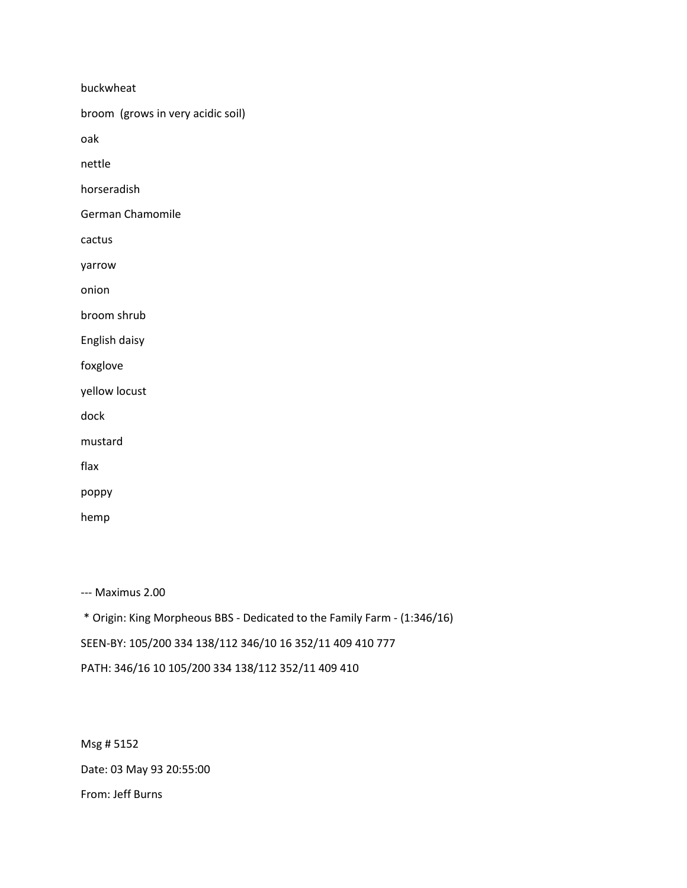buckwheat broom (grows in very acidic soil) oak nettle horseradish German Chamomile cactus yarrow onion broom shrub English daisy foxglove yellow locust dock mustard flax poppy hemp

--- Maximus 2.00

\* Origin: King Morpheous BBS - Dedicated to the Family Farm - (1:346/16) SEEN-BY: 105/200 334 138/112 346/10 16 352/11 409 410 777 PATH: 346/16 10 105/200 334 138/112 352/11 409 410

Msg # 5152 Date: 03 May 93 20:55:00 From: Jeff Burns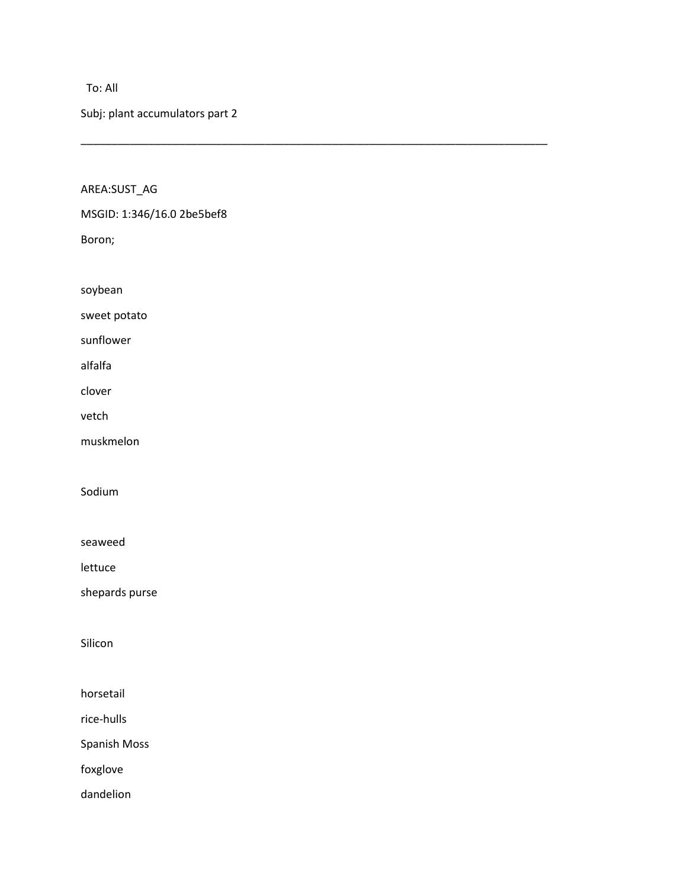## To: All

Subj: plant accumulators part 2

\_\_\_\_\_\_\_\_\_\_\_\_\_\_\_\_\_\_\_\_\_\_\_\_\_\_\_\_\_\_\_\_\_\_\_\_\_\_\_\_\_\_\_\_\_\_\_\_\_\_\_\_\_\_\_\_\_\_\_\_\_\_\_\_\_\_\_\_\_\_\_\_\_\_\_\_

AREA:SUST\_AG

MSGID: 1:346/16.0 2be5bef8

Boron;

soybean

sweet potato

sunflower

alfalfa

clover

vetch

muskmelon

Sodium

seaweed

lettuce

shepards purse

Silicon

horsetail

rice-hulls

Spanish Moss

foxglove

dandelion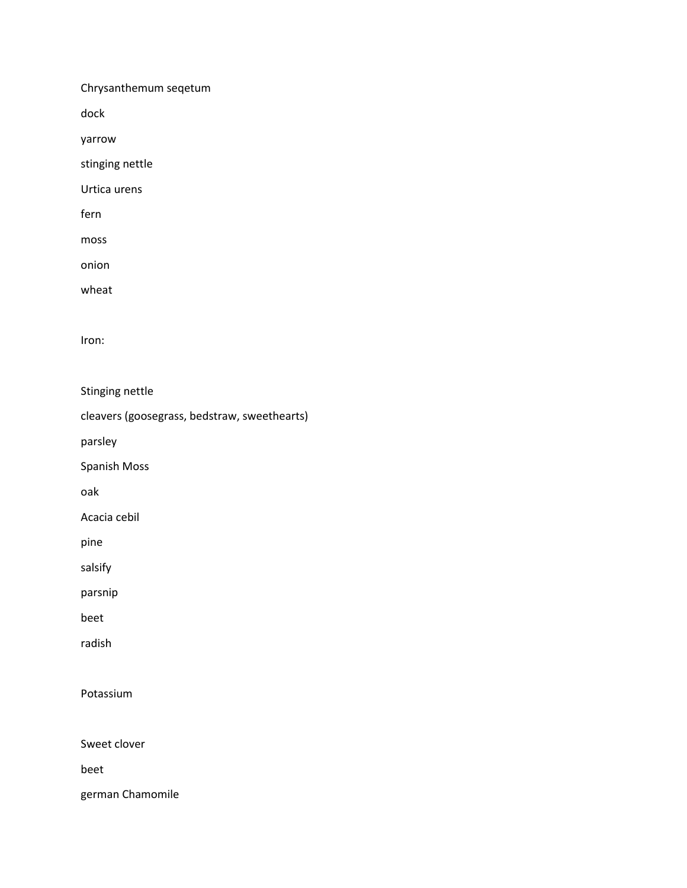Chrysanthemum seqetum

dock

yarrow

stinging nettle

Urtica urens

fern

moss

onion

wheat

Iron:

Stinging nettle

cleavers (goosegrass, bedstraw, sweethearts)

parsley

Spanish Moss

oak

Acacia cebil

pine

salsify

parsnip

beet

radish

Potassium

Sweet clover

beet

german Chamomile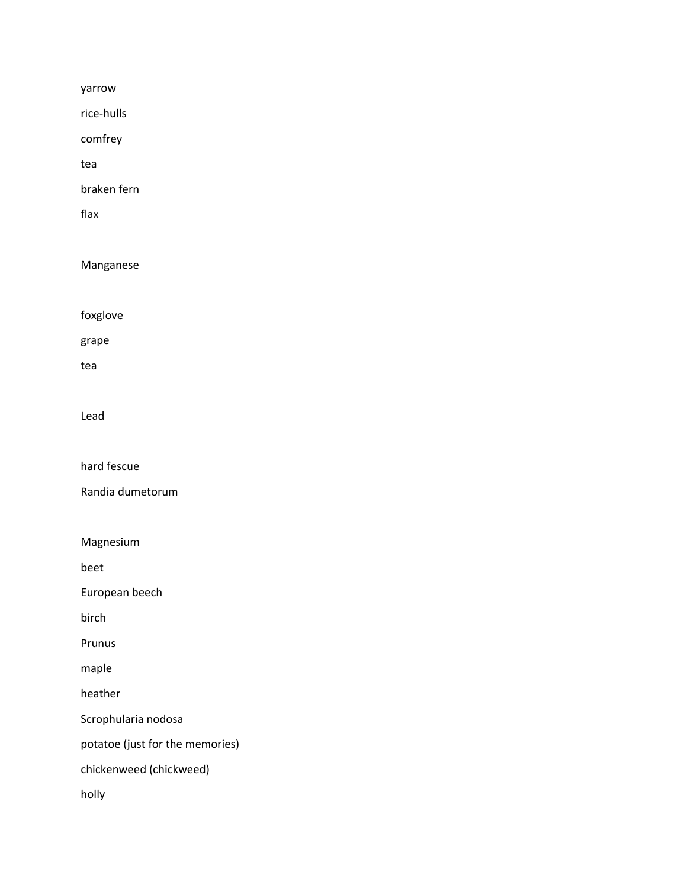yarrow

rice-hulls

comfrey

tea

braken fern

flax

Manganese

foxglove

grape

tea

Lead

hard fescue

Randia dumetorum

Magnesium

beet

European beech

birch

Prunus

maple

heather

Scrophularia nodosa

potatoe (just for the memories)

chickenweed (chickweed)

holly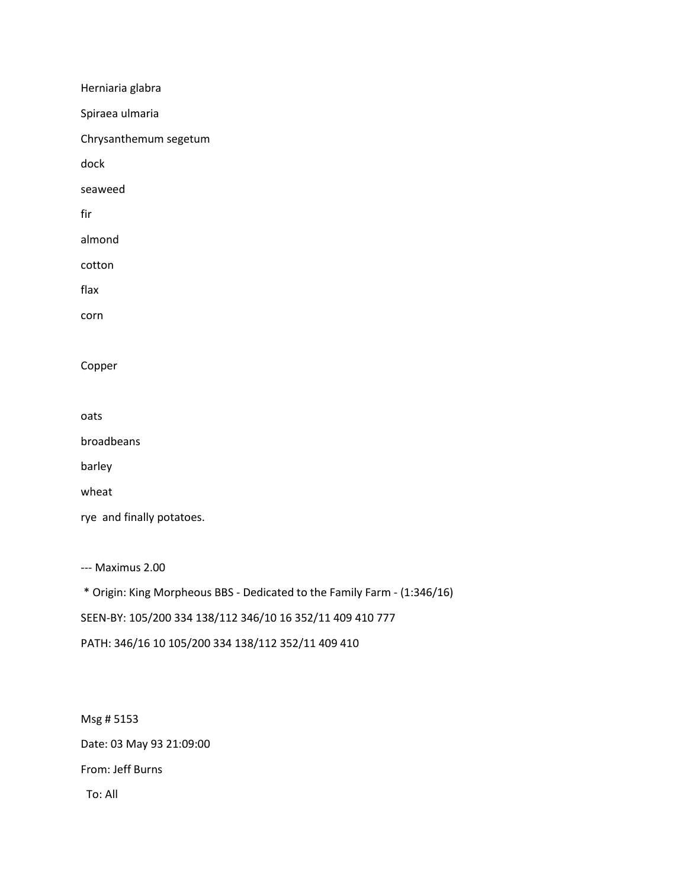Herniaria glabra Spiraea ulmaria Chrysanthemum segetum dock seaweed fir almond cotton flax corn Copper oats broadbeans barley wheat rye and finally potatoes. --- Maximus 2.00 \* Origin: King Morpheous BBS - Dedicated to the Family Farm - (1:346/16) SEEN-BY: 105/200 334 138/112 346/10 16 352/11 409 410 777

PATH: 346/16 10 105/200 334 138/112 352/11 409 410

Msg # 5153 Date: 03 May 93 21:09:00 From: Jeff Burns To: All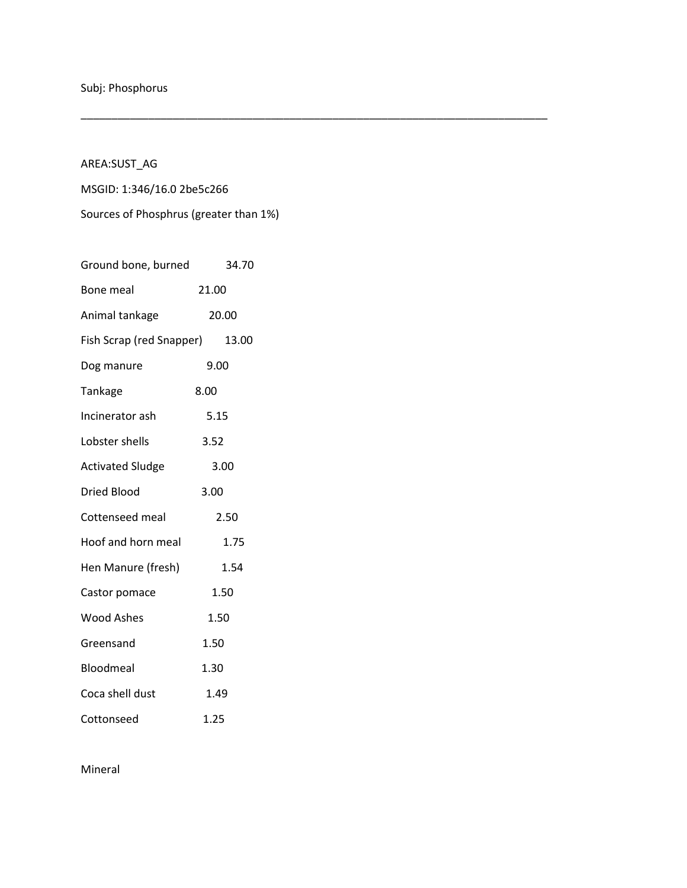AREA:SUST\_AG

MSGID: 1:346/16.0 2be5c266

Sources of Phosphrus (greater than 1%)

\_\_\_\_\_\_\_\_\_\_\_\_\_\_\_\_\_\_\_\_\_\_\_\_\_\_\_\_\_\_\_\_\_\_\_\_\_\_\_\_\_\_\_\_\_\_\_\_\_\_\_\_\_\_\_\_\_\_\_\_\_\_\_\_\_\_\_\_\_\_\_\_\_\_\_\_

| Ground bone, burned      | 34.70 |
|--------------------------|-------|
| Bone meal                | 21.00 |
| Animal tankage           | 20.00 |
| Fish Scrap (red Snapper) | 13.00 |
| Dog manure               | 9.00  |
| Tankage                  | 8.00  |
| Incinerator ash          | 5.15  |
| Lobster shells           | 3.52  |
| <b>Activated Sludge</b>  | 3.00  |
| <b>Dried Blood</b>       | 3.00  |
| Cottenseed meal          | 2.50  |
| Hoof and horn meal       | 1.75  |
| Hen Manure (fresh)       | 1.54  |
| Castor pomace            | 1.50  |
| <b>Wood Ashes</b>        | 1.50  |
| Greensand                | 1.50  |
| Bloodmeal                | 1.30  |
| Coca shell dust          | 1.49  |
| Cottonseed               | 1.25  |

Mineral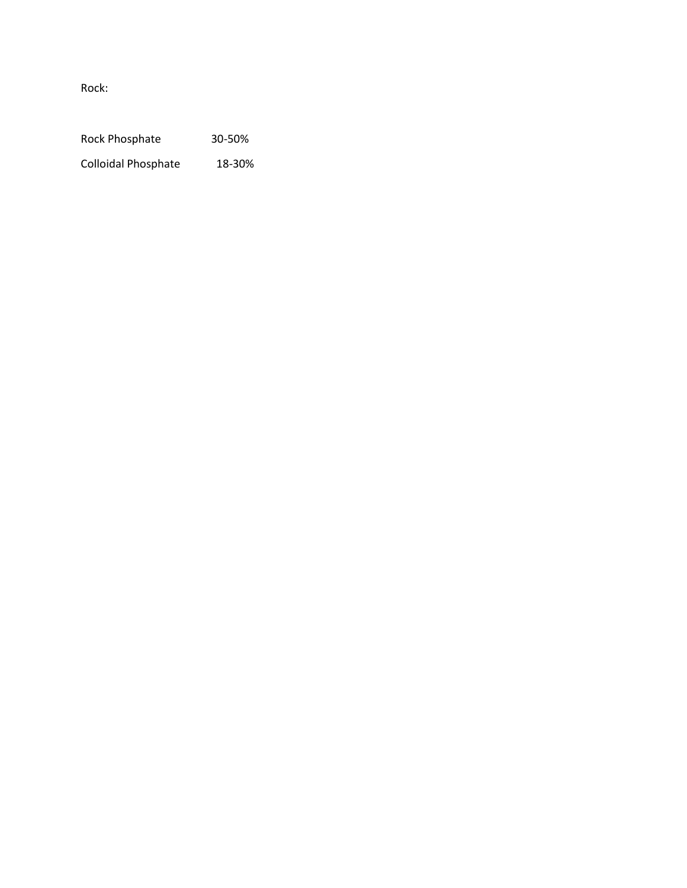Rock:

Rock Phosphate 30-50%

Colloidal Phosphate 18-30%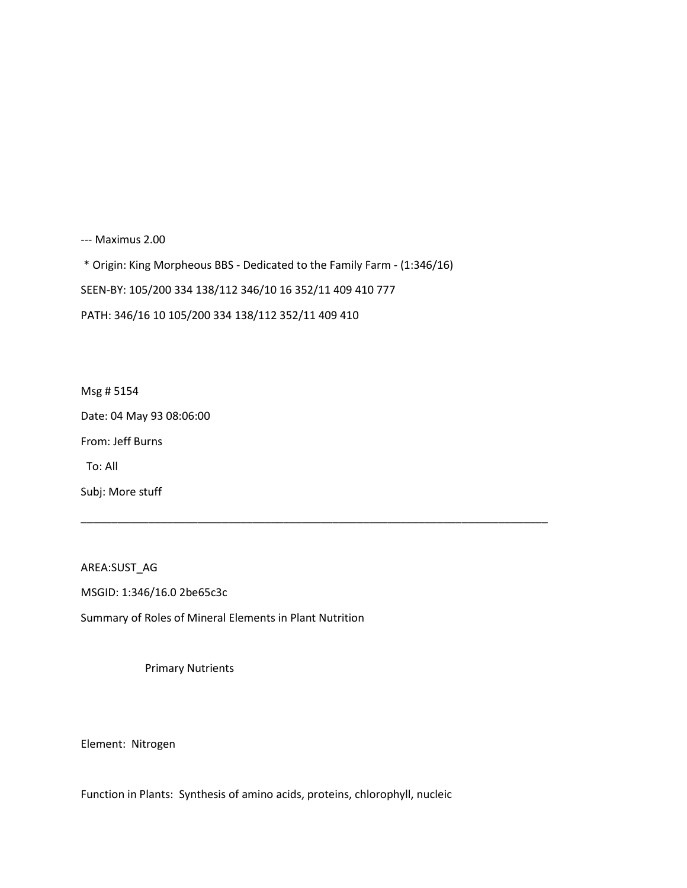--- Maximus 2.00

\* Origin: King Morpheous BBS - Dedicated to the Family Farm - (1:346/16)

\_\_\_\_\_\_\_\_\_\_\_\_\_\_\_\_\_\_\_\_\_\_\_\_\_\_\_\_\_\_\_\_\_\_\_\_\_\_\_\_\_\_\_\_\_\_\_\_\_\_\_\_\_\_\_\_\_\_\_\_\_\_\_\_\_\_\_\_\_\_\_\_\_\_\_\_

SEEN-BY: 105/200 334 138/112 346/10 16 352/11 409 410 777

PATH: 346/16 10 105/200 334 138/112 352/11 409 410

Msg # 5154 Date: 04 May 93 08:06:00 From: Jeff Burns To: All Subj: More stuff

AREA:SUST\_AG MSGID: 1:346/16.0 2be65c3c Summary of Roles of Mineral Elements in Plant Nutrition

Primary Nutrients

Element: Nitrogen

Function in Plants: Synthesis of amino acids, proteins, chlorophyll, nucleic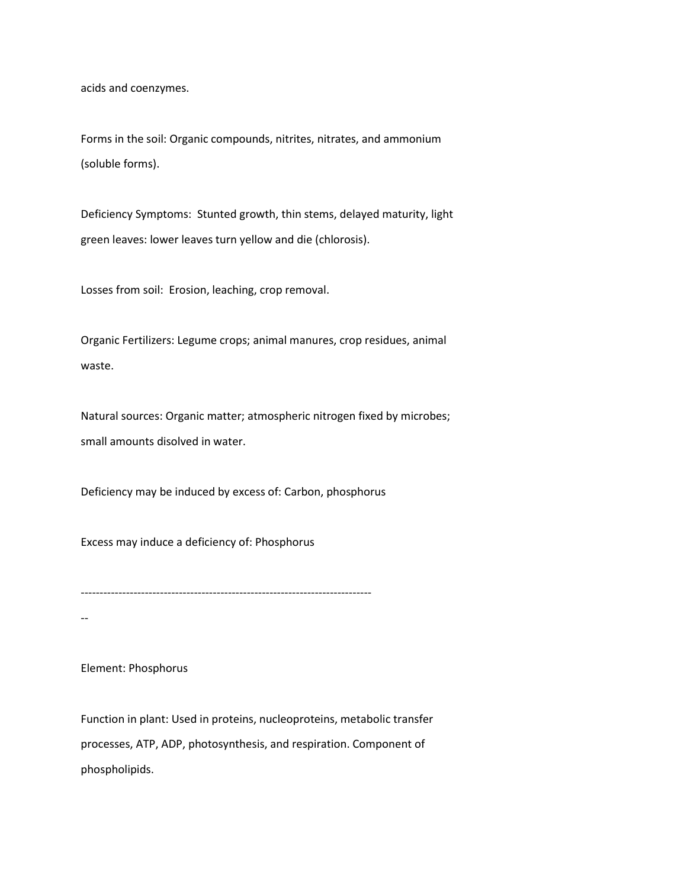acids and coenzymes.

Forms in the soil: Organic compounds, nitrites, nitrates, and ammonium (soluble forms).

Deficiency Symptoms: Stunted growth, thin stems, delayed maturity, light green leaves: lower leaves turn yellow and die (chlorosis).

Losses from soil: Erosion, leaching, crop removal.

Organic Fertilizers: Legume crops; animal manures, crop residues, animal waste.

Natural sources: Organic matter; atmospheric nitrogen fixed by microbes; small amounts disolved in water.

Deficiency may be induced by excess of: Carbon, phosphorus

Excess may induce a deficiency of: Phosphorus

-----------------------------------------------------------------------------

--

Element: Phosphorus

Function in plant: Used in proteins, nucleoproteins, metabolic transfer processes, ATP, ADP, photosynthesis, and respiration. Component of phospholipids.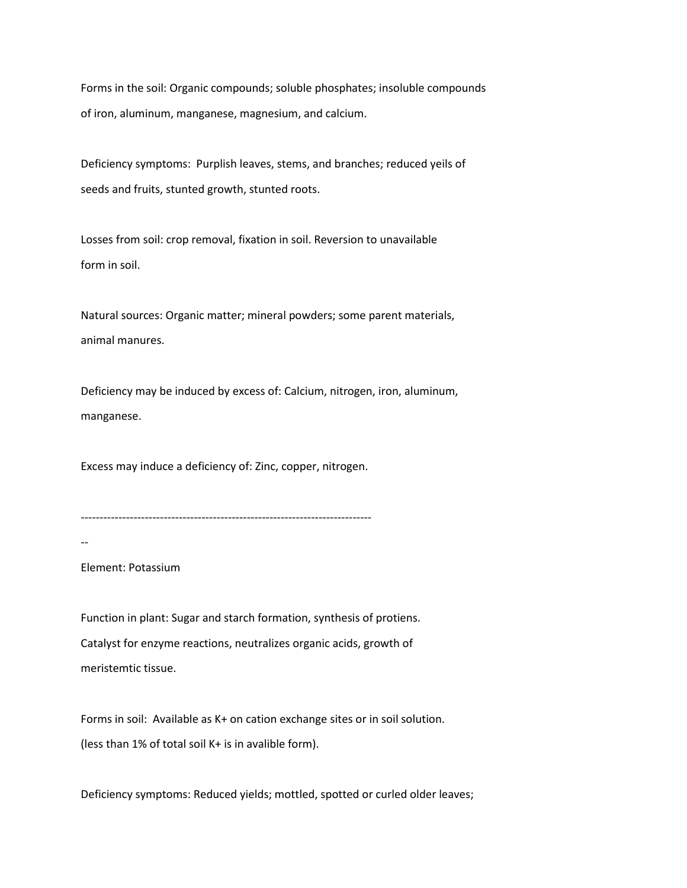Forms in the soil: Organic compounds; soluble phosphates; insoluble compounds of iron, aluminum, manganese, magnesium, and calcium.

Deficiency symptoms: Purplish leaves, stems, and branches; reduced yeils of seeds and fruits, stunted growth, stunted roots.

Losses from soil: crop removal, fixation in soil. Reversion to unavailable form in soil.

Natural sources: Organic matter; mineral powders; some parent materials, animal manures.

Deficiency may be induced by excess of: Calcium, nitrogen, iron, aluminum, manganese.

Excess may induce a deficiency of: Zinc, copper, nitrogen.

-----------------------------------------------------------------------------

--

Element: Potassium

Function in plant: Sugar and starch formation, synthesis of protiens. Catalyst for enzyme reactions, neutralizes organic acids, growth of meristemtic tissue.

Forms in soil: Available as K+ on cation exchange sites or in soil solution. (less than 1% of total soil K+ is in avalible form).

Deficiency symptoms: Reduced yields; mottled, spotted or curled older leaves;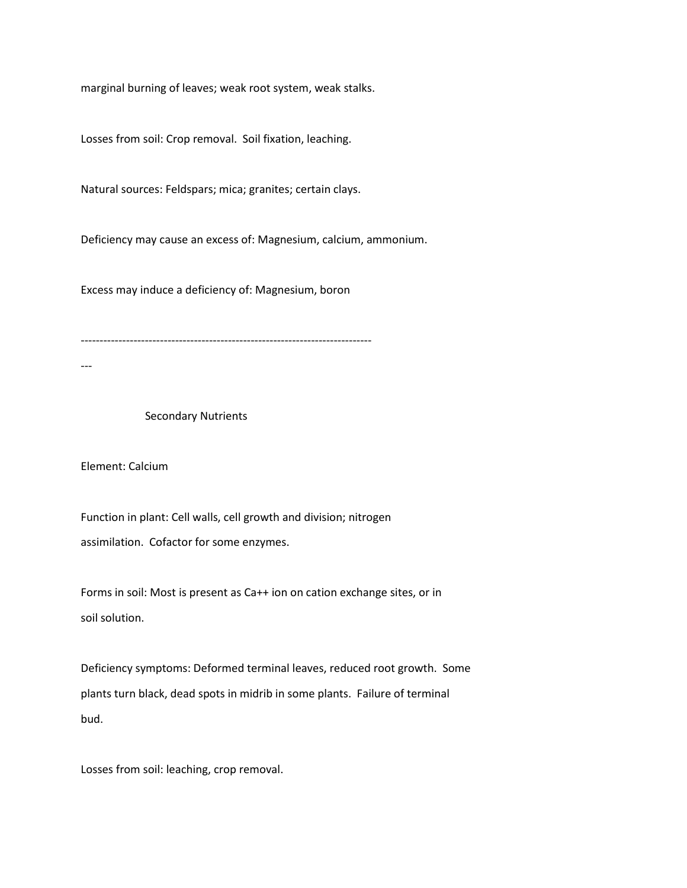marginal burning of leaves; weak root system, weak stalks.

Losses from soil: Crop removal. Soil fixation, leaching.

Natural sources: Feldspars; mica; granites; certain clays.

Deficiency may cause an excess of: Magnesium, calcium, ammonium.

Excess may induce a deficiency of: Magnesium, boron

-----------------------------------------------------------------------------

---

## Secondary Nutrients

Element: Calcium

Function in plant: Cell walls, cell growth and division; nitrogen assimilation. Cofactor for some enzymes.

Forms in soil: Most is present as Ca++ ion on cation exchange sites, or in soil solution.

Deficiency symptoms: Deformed terminal leaves, reduced root growth. Some plants turn black, dead spots in midrib in some plants. Failure of terminal bud.

Losses from soil: leaching, crop removal.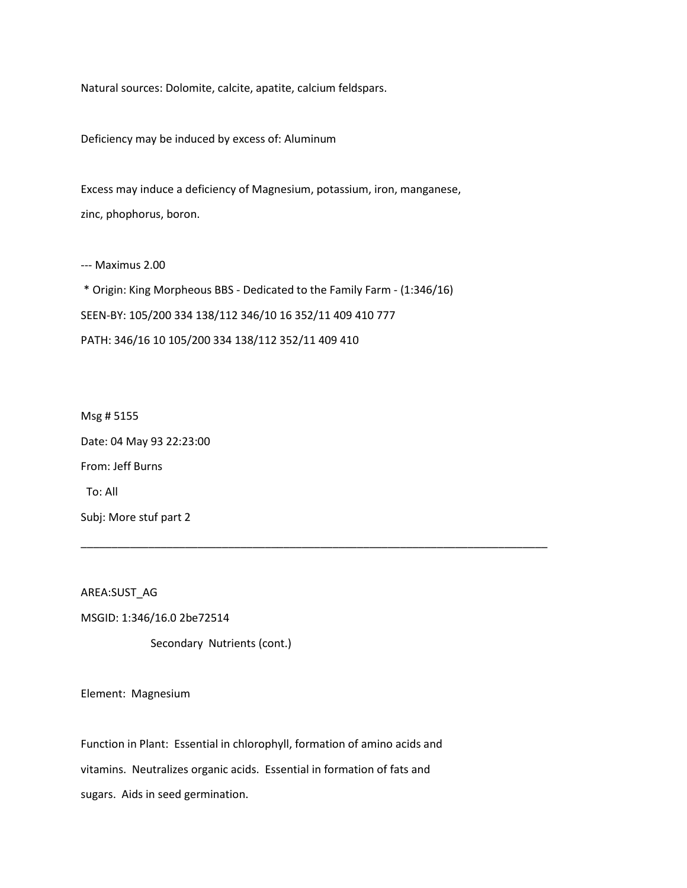Natural sources: Dolomite, calcite, apatite, calcium feldspars.

Deficiency may be induced by excess of: Aluminum

Excess may induce a deficiency of Magnesium, potassium, iron, manganese, zinc, phophorus, boron.

--- Maximus 2.00

\* Origin: King Morpheous BBS - Dedicated to the Family Farm - (1:346/16) SEEN-BY: 105/200 334 138/112 346/10 16 352/11 409 410 777 PATH: 346/16 10 105/200 334 138/112 352/11 409 410

\_\_\_\_\_\_\_\_\_\_\_\_\_\_\_\_\_\_\_\_\_\_\_\_\_\_\_\_\_\_\_\_\_\_\_\_\_\_\_\_\_\_\_\_\_\_\_\_\_\_\_\_\_\_\_\_\_\_\_\_\_\_\_\_\_\_\_\_\_\_\_\_\_\_\_\_

Msg # 5155 Date: 04 May 93 22:23:00 From: Jeff Burns To: All Subj: More stuf part 2

AREA:SUST\_AG

MSGID: 1:346/16.0 2be72514

Secondary Nutrients (cont.)

Element: Magnesium

Function in Plant: Essential in chlorophyll, formation of amino acids and

vitamins. Neutralizes organic acids. Essential in formation of fats and

sugars. Aids in seed germination.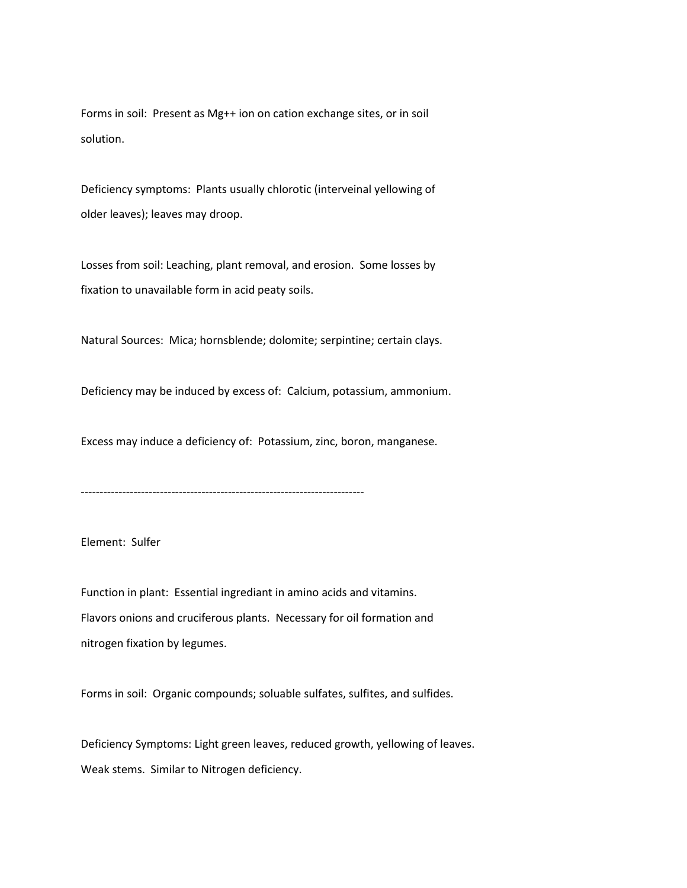Forms in soil: Present as Mg++ ion on cation exchange sites, or in soil solution.

Deficiency symptoms: Plants usually chlorotic (interveinal yellowing of older leaves); leaves may droop.

Losses from soil: Leaching, plant removal, and erosion. Some losses by fixation to unavailable form in acid peaty soils.

Natural Sources: Mica; hornsblende; dolomite; serpintine; certain clays.

Deficiency may be induced by excess of: Calcium, potassium, ammonium.

Excess may induce a deficiency of: Potassium, zinc, boron, manganese.

---------------------------------------------------------------------------

Element: Sulfer

Function in plant: Essential ingrediant in amino acids and vitamins. Flavors onions and cruciferous plants. Necessary for oil formation and nitrogen fixation by legumes.

Forms in soil: Organic compounds; soluable sulfates, sulfites, and sulfides.

Deficiency Symptoms: Light green leaves, reduced growth, yellowing of leaves. Weak stems. Similar to Nitrogen deficiency.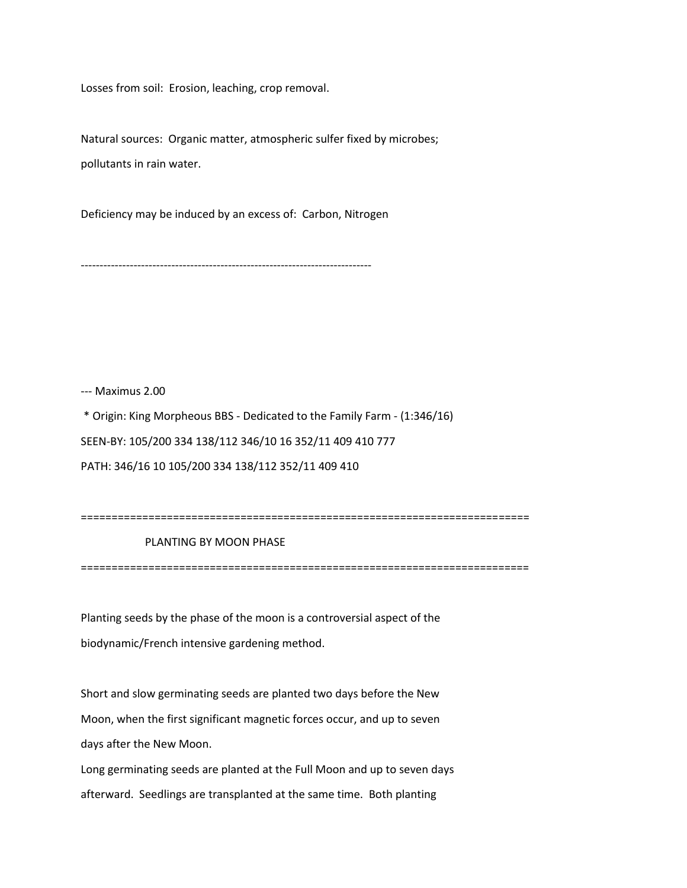Losses from soil: Erosion, leaching, crop removal.

Natural sources: Organic matter, atmospheric sulfer fixed by microbes; pollutants in rain water.

Deficiency may be induced by an excess of: Carbon, Nitrogen

-----------------------------------------------------------------------------

--- Maximus 2.00

\* Origin: King Morpheous BBS - Dedicated to the Family Farm - (1:346/16) SEEN-BY: 105/200 334 138/112 346/10 16 352/11 409 410 777 PATH: 346/16 10 105/200 334 138/112 352/11 409 410

```
=========================================================================
```
PLANTING BY MOON PHASE

=========================================================================

Planting seeds by the phase of the moon is a controversial aspect of the biodynamic/French intensive gardening method.

Short and slow germinating seeds are planted two days before the New Moon, when the first significant magnetic forces occur, and up to seven days after the New Moon.

Long germinating seeds are planted at the Full Moon and up to seven days afterward. Seedlings are transplanted at the same time. Both planting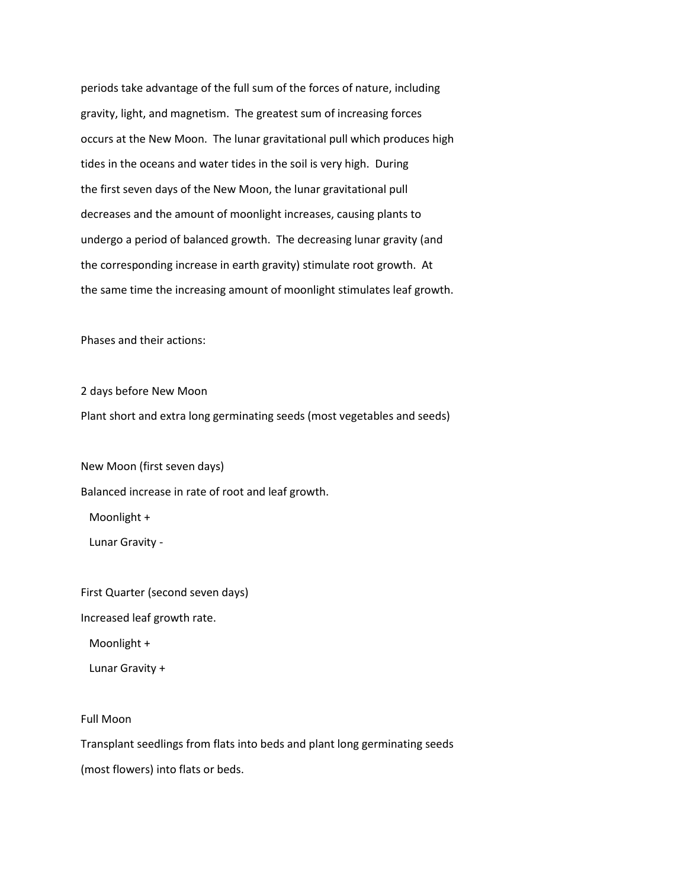periods take advantage of the full sum of the forces of nature, including gravity, light, and magnetism. The greatest sum of increasing forces occurs at the New Moon. The lunar gravitational pull which produces high tides in the oceans and water tides in the soil is very high. During the first seven days of the New Moon, the lunar gravitational pull decreases and the amount of moonlight increases, causing plants to undergo a period of balanced growth. The decreasing lunar gravity (and the corresponding increase in earth gravity) stimulate root growth. At the same time the increasing amount of moonlight stimulates leaf growth.

Phases and their actions:

2 days before New Moon Plant short and extra long germinating seeds (most vegetables and seeds)

New Moon (first seven days) Balanced increase in rate of root and leaf growth.

Moonlight +

Lunar Gravity -

First Quarter (second seven days)

Increased leaf growth rate.

Moonlight +

Lunar Gravity +

Full Moon

Transplant seedlings from flats into beds and plant long germinating seeds

(most flowers) into flats or beds.